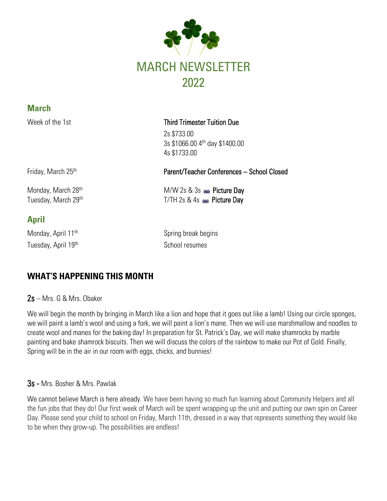

| <b>March</b>                              |                                                                           |
|-------------------------------------------|---------------------------------------------------------------------------|
| Week of the 1st                           | <b>Third Trimester Tuition Due</b>                                        |
|                                           | 2s \$733.00<br>3s \$1066.00 4th day \$1400.00<br>4s \$1733.00             |
| Friday, March 25 <sup>th</sup>            | Parent/Teacher Conferences - School Closed                                |
| Monday, March 28th<br>Tuesday, March 29th | $M/W$ 2s & 3s $\bullet$ Picture Day<br>T/TH 2s & 4s $\bullet$ Picture Day |

# **April**

Tuesday, April 19<sup>th</sup> School resumes

Monday, April 11<sup>th</sup> Spring break begins

# **WHAT'S HAPPENING THIS MONTH**

2s – Mrs. G & Mrs. Obaker

We will begin the month by bringing in March like a lion and hope that it goes out like a lamb! Using our circle sponges, we will paint a lamb's wool and using a fork, we will paint a lion's mane. Then we will use marshmallow and noodles to create wool and manes for the baking day! In preparation for St. Patrick's Day, we will make shamrocks by marble painting and bake shamrock biscuits. Then we will discuss the colors of the rainbow to make our Pot of Gold. Finally, Spring will be in the air in our room with eggs, chicks, and bunnies!

### 3s - Mrs. Bosher & Mrs. Pawlak

We cannot believe March is here already. We have been having so much fun learning about Community Helpers and all the fun jobs that they do! Our first week of March will be spent wrapping up the unit and putting our own spin on Career Day. Please send your child to school on Friday, March 11th, dressed in a way that represents something they would like to be when they grow-up. The possibilities are endless!